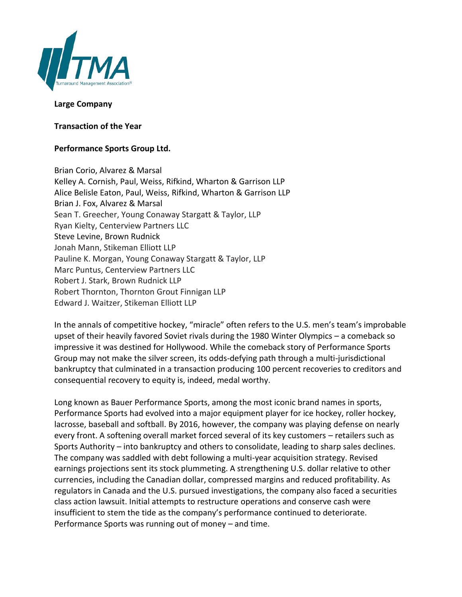

## **Large Company**

**Transaction of the Year**

## **Performance Sports Group Ltd.**

Brian Corio, Alvarez & Marsal Kelley A. Cornish, Paul, Weiss, Rifkind, Wharton & Garrison LLP Alice Belisle Eaton, Paul, Weiss, Rifkind, Wharton & Garrison LLP Brian J. Fox, Alvarez & Marsal Sean T. Greecher, Young Conaway Stargatt & Taylor, LLP Ryan Kielty, Centerview Partners LLC Steve Levine, Brown Rudnick Jonah Mann, Stikeman Elliott LLP Pauline K. Morgan, Young Conaway Stargatt & Taylor, LLP Marc Puntus, Centerview Partners LLC Robert J. Stark, Brown Rudnick LLP Robert Thornton, Thornton Grout Finnigan LLP Edward J. Waitzer, Stikeman Elliott LLP

In the annals of competitive hockey, "miracle" often refers to the U.S. men's team's improbable upset of their heavily favored Soviet rivals during the 1980 Winter Olympics – a comeback so impressive it was destined for Hollywood. While the comeback story of Performance Sports Group may not make the silver screen, its odds-defying path through a multi-jurisdictional bankruptcy that culminated in a transaction producing 100 percent recoveries to creditors and consequential recovery to equity is, indeed, medal worthy.

Long known as Bauer Performance Sports, among the most iconic brand names in sports, Performance Sports had evolved into a major equipment player for ice hockey, roller hockey, lacrosse, baseball and softball. By 2016, however, the company was playing defense on nearly every front. A softening overall market forced several of its key customers – retailers such as Sports Authority – into bankruptcy and others to consolidate, leading to sharp sales declines. The company was saddled with debt following a multi-year acquisition strategy. Revised earnings projections sent its stock plummeting. A strengthening U.S. dollar relative to other currencies, including the Canadian dollar, compressed margins and reduced profitability. As regulators in Canada and the U.S. pursued investigations, the company also faced a securities class action lawsuit. Initial attempts to restructure operations and conserve cash were insufficient to stem the tide as the company's performance continued to deteriorate. Performance Sports was running out of money – and time.